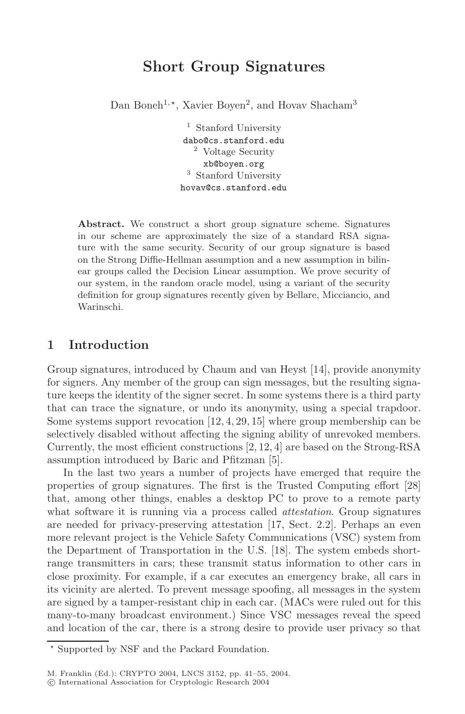## **Short Group Signatures**

Dan Boneh<sup>1,\*</sup>, Xavier Boyen<sup>2</sup>, and Hovav Shacham<sup>3</sup>

<sup>1</sup> Stanford University dabo@cs.stanford.edu <sup>2</sup> Voltage Security xb@boyen.org <sup>3</sup> Stanford University hovav@cs.stanford.edu

Abstract. We construct a short group signature scheme. Signatures in our scheme are approximately the size of a standard RSA signature with the same security. Security of our group signature is based on the Strong Diffie-Hellman assumption and a new assumption in bilinear groups called the Decision Linear assumption. We prove security of our system, in the random oracle model, using a variant of the security definition for group signatures recently given by Bellare, Micciancio, and Warinschi.

#### **1 Introduction**

Group signatures, introduced by Chaum and van Heyst [14], provide anonymity for signers. Any member of the group can sign messages, but the resulting signature keeps the identity of the signer secret. In some systems there is a third party that can trace the signature, or undo its anonymity, using a special trapdoor. Some systems support revocation  $[12, 4, 29, 15]$  where group membership can be selectively disabled without affecting the signing ability of unrevoked members. Currently, the most efficient constructions [2, 12, 4] are based on the Strong-RSA assumption introduced by Baric and Pfitzman [5].

In the last two years a number of projects have emerged that require the properties of group signatures. The first is the Trusted Computing effort [28] that, among other things, enables a desktop PC to prove to a remote party what software it is running via a process called *attestation*. Group signatures are needed for privacy-preserving attestation [17, Sect. 2.2]. Perhaps an even more relevant project is the Vehicle Safety Communications (VSC) system from the Department of Transportation in the U.S. [18]. The system embeds shortrange transmitters in cars; these transmit status information to other cars in close proximity. For example, if a car executes an emergency brake, all cars in its vicinity are alerted. To prevent message spoofing, all messages in the system are signed by a tamper-resistant chip in each car. (MACs were ruled out for this many-to-many broadcast environment.) Since VSC messages reveal the speed and location of the car, there is a strong desire to provide user privacy so that

<sup>\*</sup> Supported by NSF and the Packard Foundation.

c International Association for Cryptologic Research 2004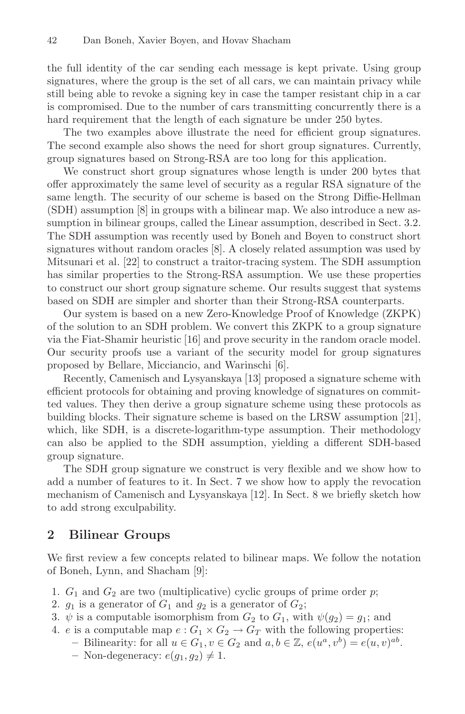the full identity of the car sending each message is kept private. Using group signatures, where the group is the set of all cars, we can maintain privacy while still being able to revoke a signing key in case the tamper resistant chip in a car is compromised. Due to the number of cars transmitting concurrently there is a hard requirement that the length of each signature be under 250 bytes.

The two examples above illustrate the need for efficient group signatures. The second example also shows the need for short group signatures. Currently, group signatures based on Strong-RSA are too long for this application.

We construct short group signatures whose length is under 200 bytes that offer approximately the same level of security as a regular RSA signature of the same length. The security of our scheme is based on the Strong Diffie-Hellman (SDH) assumption [8] in groups with a bilinear map. We also introduce a new assumption in bilinear groups, called the Linear assumption, described in Sect. 3.2. The SDH assumption was recently used by Boneh and Boyen to construct short signatures without random oracles [8]. A closely related assumption was used by Mitsunari et al. [22] to construct a traitor-tracing system. The SDH assumption has similar properties to the Strong-RSA assumption. We use these properties to construct our short group signature scheme. Our results suggest that systems based on SDH are simpler and shorter than their Strong-RSA counterparts.

Our system is based on a new Zero-Knowledge Proof of Knowledge (ZKPK) of the solution to an SDH problem. We convert this ZKPK to a group signature via the Fiat-Shamir heuristic [16] and prove security in the random oracle model. Our security proofs use a variant of the security model for group signatures proposed by Bellare, Micciancio, and Warinschi [6].

Recently, Camenisch and Lysyanskaya [13] proposed a signature scheme with efficient protocols for obtaining and proving knowledge of signatures on committed values. They then derive a group signature scheme using these protocols as building blocks. Their signature scheme is based on the LRSW assumption [21], which, like SDH, is a discrete-logarithm-type assumption. Their methodology can also be applied to the SDH assumption, yielding a different SDH-based group signature.

The SDH group signature we construct is very flexible and we show how to add a number of features to it. In Sect. 7 we show how to apply the revocation mechanism of Camenisch and Lysyanskaya [12]. In Sect. 8 we briefly sketch how to add strong exculpability.

#### **2 Bilinear Groups**

We first review a few concepts related to bilinear maps. We follow the notation of Boneh, Lynn, and Shacham [9]:

- 1.  $G_1$  and  $G_2$  are two (multiplicative) cyclic groups of prime order p;
- 2.  $g_1$  is a generator of  $G_1$  and  $g_2$  is a generator of  $G_2$ ;
- 3.  $\psi$  is a computable isomorphism from  $G_2$  to  $G_1$ , with  $\psi(g_2) = g_1$ ; and
- 4. e is a computable map  $e: G_1 \times G_2 \to G_T$  with the following properties:
	- **–** Bilinearity: for all  $u \in G_1$ ,  $v \in G_2$  and  $a, b \in \mathbb{Z}$ ,  $e(u^a, v^b) = e(u, v)^{ab}$ .
		- $-$  Non-degeneracy:  $e(g_1, g_2) \neq 1$ .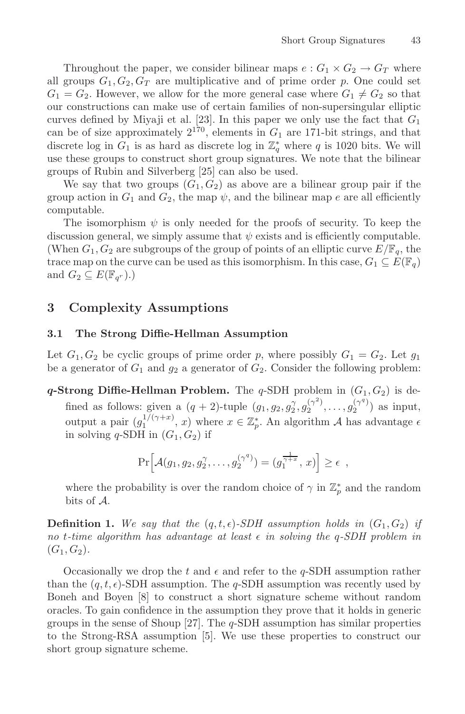Throughout the paper, we consider bilinear maps  $e: G_1 \times G_2 \to G_T$  where all groups  $G_1, G_2, G_T$  are multiplicative and of prime order p. One could set  $G_1 = G_2$ . However, we allow for the more general case where  $G_1 \neq G_2$  so that our constructions can make use of certain families of non-supersingular elliptic curves defined by Miyaji et al. [23]. In this paper we only use the fact that  $G_1$ can be of size approximately  $2^{170}$ , elements in  $G_1$  are 171-bit strings, and that discrete log in  $G_1$  is as hard as discrete log in  $\mathbb{Z}_q^*$  where q is 1020 bits. We will use these groups to construct short group signatures. We note that the bilinear use these groups to construct short group signatures. We note that the bilinear groups of Rubin and Silverberg [25] can also be used.

We say that two groups  $(G_1, G_2)$  as above are a bilinear group pair if the group action in  $G_1$  and  $G_2$ , the map  $\psi$ , and the bilinear map e are all efficiently computable.

The isomorphism  $\psi$  is only needed for the proofs of security. To keep the discussion general, we simply assume that  $\psi$  exists and is efficiently computable. (When  $G_1, G_2$  are subgroups of the group of points of an elliptic curve  $E/\mathbb{F}_q$ , the trace map on the curve can be used as this isomorphism. In this case,  $G_1 \subseteq E(\mathbb{F}_q)$ and  $G_2 \subseteq E(\mathbb{F}_{q^r})$ .)

#### **3 Complexity Assumptions**

# **3.1 The Strong Diffie-Hellman Assumption**

Let  $G_1, G_2$  be cyclic groups of prime order p, where possibly  $G_1 = G_2$ . Let  $g_1$ be a generator of  $G_1$  and  $g_2$  a generator of  $G_2$ . Consider the following problem:

**q-Strong Diffie-Hellman Problem.** The q-SDH problem in  $(G_1, G_2)$  is defined as follows: given a  $(q + 2)$ -tuple  $(g_1, g_2, g_2^{\gamma}, g_2^{(\gamma^2)}, \ldots, g_2^{(\gamma^q)})$  as input, output a pair  $(g_1^{1/(\gamma+x)}, x)$  where  $x \in \mathbb{Z}_p^*$ . An algorithm A has advantage  $\epsilon$ <br>in solving a-SDH in  $(G, G_2)$  if in solving  $q$ -SDH in  $(G_1, G_2)$  if

$$
\Pr\Big[\mathcal{A}(g_1,g_2,g_2^{\gamma},\ldots,g_2^{(\gamma^q)})=(g_1^{\frac{1}{\gamma+x}},x)\Big]\geq \epsilon ,
$$

where the probability is over the random choice of  $\gamma$  in  $\mathbb{Z}_p^*$  and the random bits of A bits of A.

**Definition 1.** We say that the  $(q, t, \epsilon)$ -SDH assumption holds in  $(G_1, G_2)$  if no t-time algorithm has advantage at least  $\epsilon$  in solving the a-SDH problem in  $n \circ t$ *-time algorithm has advantage at least*  $\epsilon$  *in solving the*  $q$ *-SDH problem in*  $(G_1, G_2)$ .

Occasionally we drop the t and  $\epsilon$  and refer to the q-SDH assumption rather<br>n the  $(a + \epsilon)$ -SDH assumption. The q-SDH assumption was recently used by than the  $(q, t, \epsilon)$ -SDH assumption. The q-SDH assumption was recently used by<br>Boneh and Boyen [8] to construct a short signature scheme without random Boneh and Boyen [8] to construct a short signature scheme without random oracles. To gain confidence in the assumption they prove that it holds in generic groups in the sense of Shoup [27]. The  $q$ -SDH assumption has similar properties to the Strong-RSA assumption [5]. We use these properties to construct our short group signature scheme.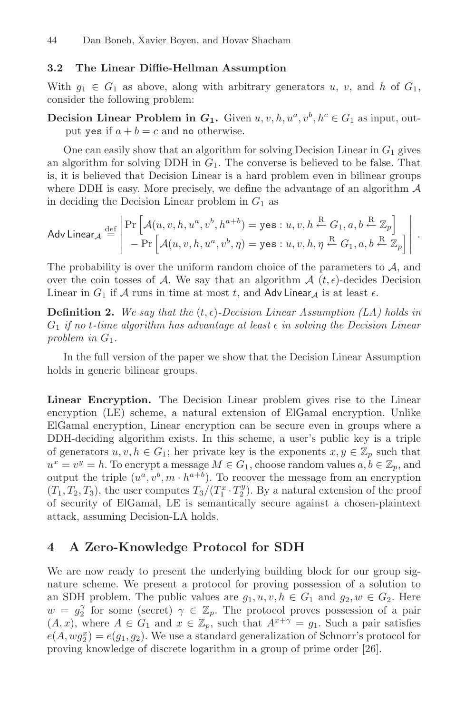#### **3.2 The Linear Diffie-Hellman Assumption**  $3.2$

With  $g_1 \in G_1$  as above, along with arbitrary generators u, v, and h of  $G_1$ , consider the following problem:

**Decision Linear Problem in**  $G_1$ **.** Given  $u, v, h, u^a, v^b, h^c \in G_1$  as input, output yes if  $a + b = c$  and no otherwise.

One can easily show that an algorithm for solving Decision Linear in  $G_1$  gives an algorithm for solving DDH in  $G_1$ . The converse is believed to be false. That is, it is believed that Decision Linear is a hard problem even in bilinear groups where DDH is easy. More precisely, we define the advantage of an algorithm  $\mathcal A$ in deciding the Decision Linear problem in  $G_1$  as

$$
\mathsf{Adv\,Linear}_{\mathcal{A}} \stackrel{\text{def}}{=} \left| \begin{array}{l} \Pr\left[ \mathcal{A}(u, v, h, u^a, v^b, h^{a+b}) = \mathsf{yes} : u, v, h \stackrel{\text{R}}{\leftarrow} G_1, a, b \stackrel{\text{R}}{\leftarrow} \mathbb{Z}_p \right] \\ - \Pr\left[ \mathcal{A}(u, v, h, u^a, v^b, \eta) = \mathsf{yes} : u, v, h, \eta \stackrel{\text{R}}{\leftarrow} G_1, a, b \stackrel{\text{R}}{\leftarrow} \mathbb{Z}_p \right] \end{array} \right| \right|.
$$

The probability is over the uniform random choice of the parameters to  $A$ , and over the coin tosses of A. We say that an algorithm  $\mathcal{A}(t, \epsilon)$ -decides Decision<br>Linear in  $G_i$  if A runs in time at most  $t$  and AdvI inear  $\iota$  is at least  $\epsilon$ Linear in  $G_1$  if  $A$  runs in time at most  $t$ , and  $\overline{A}$ dv Linear<sub>A</sub> is at least  $\epsilon$ .

**Definition 2.** We say that the  $(t, \epsilon)$ -Decision Linear Assumption (LA) holds in<br>*G*, if no t-time algorithm has advantage at least  $\epsilon$  in solving the Decision Linear  $G_1$  *if no t*-time algorithm has advantage at least  $\epsilon$  in solving the Decision Linear<br>problem in  $G_t$ *problem in*  $G_1$ *.* 

In the full version of the paper we show that the Decision Linear Assumption holds in generic bilinear groups.

**Linear Encryption.** The Decision Linear problem gives rise to the Linear encryption (LE) scheme, a natural extension of ElGamal encryption. Unlike ElGamal encryption, Linear encryption can be secure even in groups where a DDH-deciding algorithm exists. In this scheme, a user's public key is a triple of generators  $u, v, h \in G_1$ ; her private key is the exponents  $x, y \in \mathbb{Z}_p$  such that  $u^x = v^y = h$ . To encrypt a message  $M \in G_1$ , choose random values  $a, b \in \mathbb{Z}_p$ , and output the triple  $(u^a, v^b, m \cdot h^{a+b})$ . To recover the message from an encryption  $(T_1, T_2, T_3)$ , the user computes  $T_3 / (T_1^x \cdot T_2^y)$ . By a natural extension of the proof<br>of security of ElGamal LE is semantically secure against a chosen-plaintext of security of ElGamal, LE is semantically secure against a chosen-plaintext attack, assuming Decision-LA holds.

#### **4 A Zero-Knowledge Protocol for SDH**

We are now ready to present the underlying building block for our group signature scheme. We present a protocol for proving possession of a solution to an SDH problem. The public values are  $q_1, u, v, h \in G_1$  and  $q_2, w \in G_2$ . Here  $w = g_2^{\gamma}$  for some (secret)  $\gamma \in \mathbb{Z}_p$ . The protocol proves possession of a pair  $(A, x)$ , where  $A \in G_1$  and  $x \in \mathbb{Z}_p$ , such that  $A^{x+\gamma} = g_1$ . Such a pair satisfies  $e(A, wg_2^x) = e(g_1, g_2)$ . We use a standard generalization of Schnorr's protocol for proving knowledge of discrete logarithm in a group of prime order [26] proving knowledge of discrete logarithm in a group of prime order [26].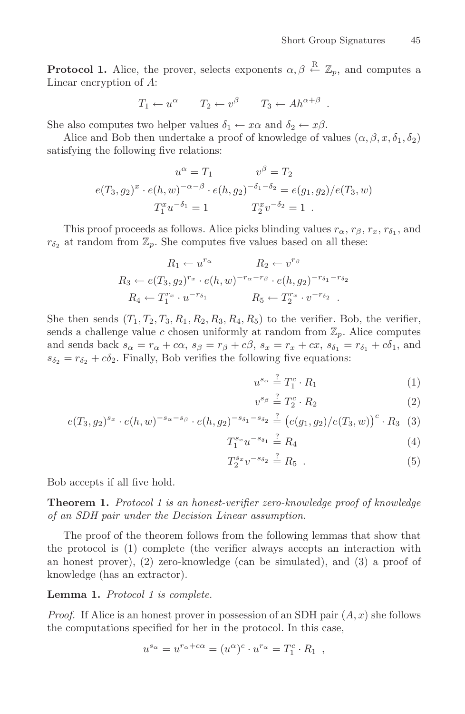**Protocol 1.** Alice, the prover, selects exponents  $\alpha, \beta \leftarrow \mathbb{Z}_p$ , and computes a Linear encryption of 4. Linear encryption of A:

$$
T_1 \leftarrow u^{\alpha} \qquad T_2 \leftarrow v^{\beta} \qquad T_3 \leftarrow Ah^{\alpha+\beta} \ .
$$

She also computes two helper values  $\delta_1 \leftarrow x\alpha$  and  $\delta_2 \leftarrow x\beta$ .

Alice and Bob then undertake a proof of knowledge of values  $(\alpha, \beta, x, \delta_1, \delta_2)$ satisfying the following five relations:

$$
u^{\alpha} = T_1 \qquad v^{\beta} = T_2
$$
  

$$
e(T_3, g_2)^x \cdot e(h, w)^{-\alpha - \beta} \cdot e(h, g_2)^{-\delta_1 - \delta_2} = e(g_1, g_2) / e(T_3, w)
$$
  

$$
T_1^x u^{-\delta_1} = 1 \qquad T_2^x v^{-\delta_2} = 1.
$$

This proof proceeds as follows. Alice picks blinding values  $r_{\alpha}$ ,  $r_{\beta}$ ,  $r_{x}$ ,  $r_{\delta_1}$ , and  $r_{\delta_2}$  at random from  $\mathbb{Z}_p$ . She computes five values based on all these:

$$
R_1 \leftarrow u^{r_{\alpha}} \qquad R_2 \leftarrow v^{r_{\beta}}
$$
  
\n
$$
R_3 \leftarrow e(T_3, g_2)^{r_x} \cdot e(h, w)^{-r_{\alpha} - r_{\beta}} \cdot e(h, g_2)^{-r_{\delta_1} - r_{\delta_2}}
$$
  
\n
$$
R_4 \leftarrow T_1^{r_x} \cdot u^{-r_{\delta_1}} \qquad R_5 \leftarrow T_2^{r_x} \cdot v^{-r_{\delta_2}}.
$$

She then sends  $(T_1, T_2, T_3, R_1, R_2, R_3, R_4, R_5)$  to the verifier. Bob, the verifier, sends a challenge value c chosen uniformly at random from  $\mathbb{Z}_p$ . Alice computes and sends back  $s_{\alpha} = r_{\alpha} + c\alpha$ ,  $s_{\beta} = r_{\beta} + c\beta$ ,  $s_x = r_x + cx$ ,  $s_{\delta_1} = r_{\delta_1} + c\delta_1$ , and  $s_{\delta_2} = r_{\delta_2} + c\delta_2$ . Finally, Bob verifies the following five equations:

$$
u^{s_{\alpha}} \stackrel{?}{=} T_1^c \cdot R_1 \tag{1}
$$

$$
v^{s_{\beta}} \stackrel{?}{=} T_2^c \cdot R_2 \tag{2}
$$

$$
e(T_3, g_2)^{s_x} \cdot e(h, w)^{-s_\alpha - s_\beta} \cdot e(h, g_2)^{-s_{\delta_1} - s_{\delta_2}} \stackrel{?}{=} \left( e(g_1, g_2) / e(T_3, w) \right)^c \cdot R_3 \tag{3}
$$

$$
T_1^{s_x}u^{-s_{\delta_1}} \stackrel{?}{=} R_4 \tag{4}
$$

$$
T_2^{s_x} v^{-s_{\delta_2}} \stackrel{?}{=} R_5 . \tag{5}
$$

Bob accepts if all five hold.

**Theorem 1.** *Protocol 1 is an honest-verifier zero-knowledge proof of knowledge of an SDH pair under the Decision Linear assumption.*

The proof of the theorem follows from the following lemmas that show that the protocol is (1) complete (the verifier always accepts an interaction with an honest prover),  $(2)$  zero-knowledge (can be simulated), and  $(3)$  a proof of knowledge (has an extractor).

**Lemma 1.** *Protocol 1 is complete.*

*Proof.* If Alice is an honest prover in possession of an SDH pair  $(A, x)$  she follows the computations specified for her in the protocol. In this case,

$$
u^{s_{\alpha}} = u^{r_{\alpha} + c\alpha} = (u^{\alpha})^c \cdot u^{r_{\alpha}} = T_1^c \cdot R_1 ,
$$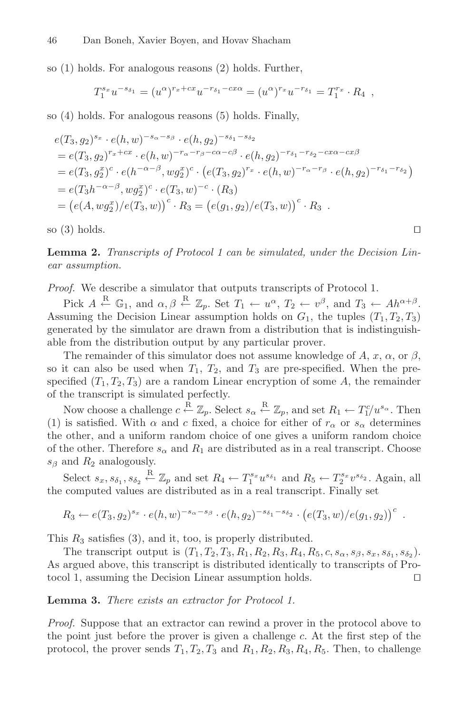so (1) holds. For analogous reasons (2) holds. Further,

$$
T_1^{s_x} u^{-s_{\delta_1}} = (u^{\alpha})^{r_x + cx} u^{-r_{\delta_1} - cx\alpha} = (u^{\alpha})^{r_x} u^{-r_{\delta_1}} = T_1^{r_x} \cdot R_4 ,
$$

so (4) holds. For analogous reasons (5) holds. Finally,

$$
e(T_3, g_2)^{s_x} \cdot e(h, w)^{-s_{\alpha} - s_{\beta}} \cdot e(h, g_2)^{-s_{\delta_1} - s_{\delta_2}}
$$
  
=  $e(T_3, g_2)^{r_x + c_x} \cdot e(h, w)^{-r_{\alpha} - r_{\beta} - c\alpha - c\beta} \cdot e(h, g_2)^{-r_{\delta_1} - r_{\delta_2} - cx\alpha - cx\beta}$   
=  $e(T_3, g_2^x)^c \cdot e(h^{-\alpha - \beta}, w g_2^x)^c \cdot (e(T_3, g_2)^{r_x} \cdot e(h, w)^{-r_{\alpha} - r_{\beta}} \cdot e(h, g_2)^{-r_{\delta_1} - r_{\delta_2}})$   
=  $e(T_3 h^{-\alpha - \beta}, w g_2^x)^c \cdot e(T_3, w)^{-c} \cdot (R_3)$   
=  $(e(A, w g_2^x)/e(T_3, w))^c \cdot R_3 = (e(g_1, g_2)/e(T_3, w))^c \cdot R_3$ .

so (3) holds.  $\square$ 

**Lemma 2.** *Transcripts of Protocol 1 can be simulated, under the Decision Linear assumption.*

*Proof.* We describe a simulator that outputs transcripts of Protocol 1.

Pick  $A \stackrel{\text{R}}{\leftarrow} \mathbb{G}_1$ , and  $\alpha, \beta \stackrel{\text{R}}{\leftarrow} \mathbb{Z}_p$ . Set  $T_1 \leftarrow u^{\alpha}, T_2 \leftarrow v^{\beta}$ , and  $T_3 \leftarrow Ah^{\alpha+\beta}$ . Assuming the Decision Linear assumption holds on  $G_1$ , the tuples  $(T_1, T_2, T_3)$ generated by the simulator are drawn from a distribution that is indistinguishable from the distribution output by any particular prover.

The remainder of this simulator does not assume knowledge of A, x,  $\alpha$ , or  $\beta$ , so it can also be used when  $T_1$ ,  $T_2$ , and  $T_3$  are pre-specified. When the prespecified  $(T_1, T_2, T_3)$  are a random Linear encryption of some A, the remainder of the transcript is simulated perfectly.

Now choose a challenge  $c \stackrel{R}{\leftarrow} \mathbb{Z}_p$ . Select  $s_\alpha \stackrel{R}{\leftarrow} \mathbb{Z}_p$ , and set  $R_1 \leftarrow T_1^c/u^{s_\alpha}$ . Then<br>is satisfied. With  $\alpha$  and  $c$  fixed a choice for either of  $r$ , or  $s$ , determines (1) is satisfied. With  $\alpha$  and c fixed, a choice for either of  $r_{\alpha}$  or  $s_{\alpha}$  determines the other, and a uniform random choice of one gives a uniform random choice of the other. Therefore  $s_{\alpha}$  and  $R_1$  are distributed as in a real transcript. Choose  $s_{\beta}$  and  $R_2$  analogously.

Select  $s_x, s_{\delta_1}, s_{\delta_2} \stackrel{\text{R}}{\leftarrow} \mathbb{Z}_p$  and set  $R_4 \leftarrow T_1^{s_x} u^{s_{\delta_1}}$  and  $R_5 \leftarrow T_2^{s_x} v^{s_{\delta_2}}$ . Again, all<br>computed values are distributed as in a real transcript. Finally set the computed values are distributed as in a real transcript. Finally set

$$
R_3 \leftarrow e(T_3, g_2)^{s_x} \cdot e(h, w)^{-s_{\alpha} - s_{\beta}} \cdot e(h, g_2)^{-s_{\delta_1} - s_{\delta_2}} \cdot (e(T_3, w) / e(g_1, g_2))^c
$$
.

This  $R_3$  satisfies (3), and it, too, is properly distributed.

The transcript output is  $(T_1, T_2, T_3, R_1, R_2, R_3, R_4, R_5, c, s_{\alpha}, s_{\beta}, s_x, s_{\delta_1}, s_{\delta_2}).$ As argued above, this transcript is distributed identically to transcripts of Protocol 1, assuming the Decision Linear assumption holds.

**Lemma 3.** *There exists an extractor for Protocol 1.*

*Proof.* Suppose that an extractor can rewind a prover in the protocol above to the point just before the prover is given a challenge c. At the first step of the protocol, the prover sends  $T_1, T_2, T_3$  and  $R_1, R_2, R_3, R_4, R_5$ . Then, to challenge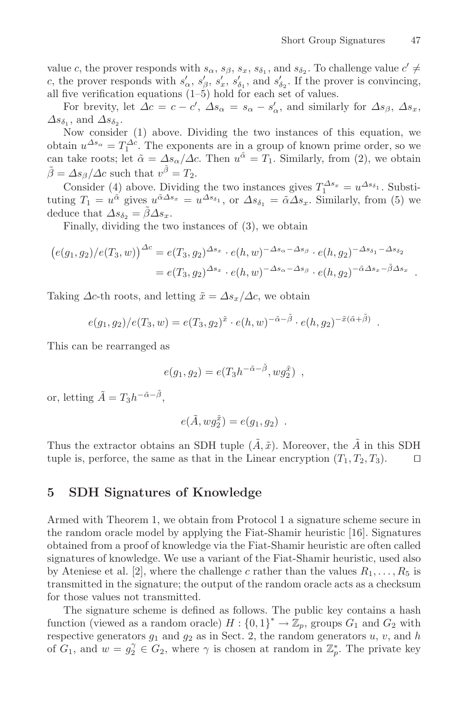value c, the prover responds with  $s_{\alpha}$ ,  $s_{\beta}$ ,  $s_x$ ,  $s_{\delta_1}$ , and  $s_{\delta_2}$ . To challenge value  $c' \neq$ c, the prover responds with  $s'_\alpha$ ,  $s'_\beta$ ,  $s'_\alpha$ ,  $s'_\delta$ , and  $s'_\delta$ . If the prover is convincing,<br>all five verification equations (1–5) hold for each set of values all five verification equations  $(1–5)$  hold for each set of values.

For brevity, let  $\Delta c = c - c'$ ,  $\Delta s_{\alpha} = s_{\alpha} - s'_{\alpha}$ , and similarly for  $\Delta s_{\beta}$ ,  $\Delta s_x$ ,  $\Delta s_{\delta_1}$ , and  $\Delta s_{\delta_2}$ .

Now consider (1) above. Dividing the two instances of this equation, we obtain  $u^{\Delta s_{\alpha}} = T_1^{\Delta c}$ . The exponents are in a group of known prime order, so we<br>can take roots: let  $\tilde{\alpha} = A s / A c$ . Then  $u^{\tilde{\alpha}} = T_1$ . Similarly, from (2), we obtain can take roots; let  $\tilde{\alpha} = \Delta s_{\alpha}/\Delta c$ . Then  $u^{\tilde{\alpha}} = T_1$ . Similarly, from (2), we obtain  $\ddot{\beta} = \Delta s_{\beta}/\Delta c$  such that  $v^{\tilde{\beta}} = T_2$ .

Consider (4) above. Dividing the two instances gives  $T_1^{\Delta s_x} = u^{\Delta s_{\delta_1}}$ . Substitution  $T_x = u^{\tilde{\alpha}}$  gives  $u^{\tilde{\alpha}\Delta s_x} = u^{\Delta s_{\delta_1}}$  or  $\Delta s_x = \tilde{\alpha} \Delta s$ . Similarly from (5) we tuting  $T_1 = u^{\tilde{\alpha}}$  gives  $u^{\tilde{\alpha}\Delta s_x} = u^{\Delta s_{\delta_1}}$ , or  $\Delta s_{\delta_1} = \tilde{\alpha} \Delta s_x$ . Similarly, from (5) we deduce that  $\Delta s_{\delta_2} = \beta \Delta s_x$ .

Finally, dividing the two instances of (3), we obtain

$$
(e(g_1, g_2)/e(T_3, w))^{\Delta c} = e(T_3, g_2)^{\Delta s_x} \cdot e(h, w)^{-\Delta s_\alpha - \Delta s_\beta} \cdot e(h, g_2)^{-\Delta s_{\delta_1} - \Delta s_{\delta_2}}
$$
  
=  $e(T_3, g_2)^{\Delta s_x} \cdot e(h, w)^{-\Delta s_\alpha - \Delta s_\beta} \cdot e(h, g_2)^{-\tilde{\alpha}\Delta s_x - \tilde{\beta}\Delta s_x}$ 

Taking  $\Delta c$ -th roots, and letting  $\tilde{x} = \Delta s_x / \Delta c$ , we obtain

$$
e(g_1, g_2)/e(T_3, w) = e(T_3, g_2)^{\tilde{x}} \cdot e(h, w)^{-\tilde{\alpha}-\tilde{\beta}} \cdot e(h, g_2)^{-\tilde{x}(\tilde{\alpha}+\tilde{\beta})}
$$

This can be rearranged as

$$
e(g_1, g_2) = e(T_3 h^{-\tilde{\alpha} - \tilde{\beta}}, w g_2^{\tilde{x}}),
$$

or, letting  $\tilde{A} = T_3 h^{-\tilde{\alpha} - \tilde{\beta}},$ 

$$
e(\tilde{A}, w g_2^{\tilde{x}}) = e(g_1, g_2) .
$$

Thus the extractor obtains an SDH tuple  $(\tilde{A}, \tilde{x})$ . Moreover, the  $\tilde{A}$  in this SDH tuple is, perforce, the same as that in the Linear encryption  $(T_1, T_2, T_3)$ . tuple is, perforce, the same as that in the Linear encryption  $(T_1, T_2, T_3)$ .

#### **5 SDH Signatures of Knowledge**

Armed with Theorem 1, we obtain from Protocol 1 a signature scheme secure in the random oracle model by applying the Fiat-Shamir heuristic [16]. Signatures obtained from a proof of knowledge via the Fiat-Shamir heuristic are often called signatures of knowledge. We use a variant of the Fiat-Shamir heuristic, used also by Ateniese et al. [2], where the challenge c rather than the values  $R_1, \ldots, R_5$  is transmitted in the signature; the output of the random oracle acts as a checksum for those values not transmitted.

The signature scheme is defined as follows. The public key contains a hash function (viewed as a random oracle)  $H: \{0,1\}^* \to \mathbb{Z}_p$ , groups  $G_1$  and  $G_2$  with respective generators  $g_1$  and  $g_2$  as in Sect. 2, the random generators  $y, y$  and  $h$ respective generators  $g_1$  and  $g_2$  as in Sect. 2, the random generators  $u, v$ , and  $h$ of  $G_1$ , and  $w = g_2^{\gamma} \in G_2$ , where  $\gamma$  is chosen at random in  $\mathbb{Z}_p^*$ . The private key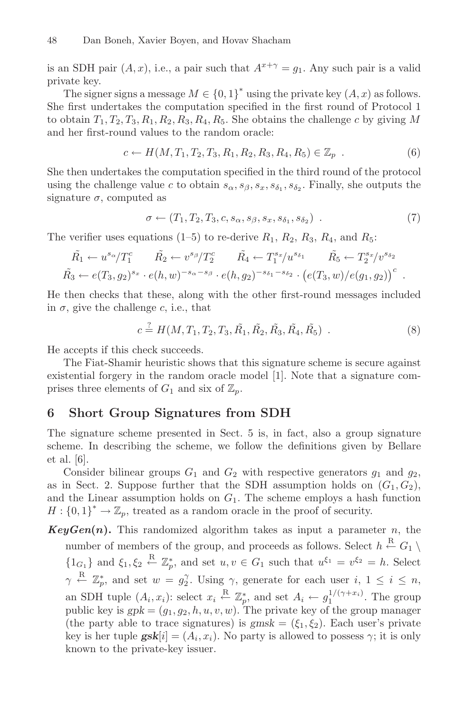is an SDH pair  $(A, x)$ , i.e., a pair such that  $A^{x+\gamma} = g_1$ . Any such pair is a valid private key.

The signer signs a message  $M \in \{0,1\}^*$  using the private key  $(A, x)$  as follows. She first undertakes the computation specified in the first round of Protocol 1 to obtain  $T_1, T_2, T_3, R_1, R_2, R_3, R_4, R_5$ . She obtains the challenge c by giving M and her first-round values to the random oracle:

$$
c \leftarrow H(M, T_1, T_2, T_3, R_1, R_2, R_3, R_4, R_5) \in \mathbb{Z}_p \tag{6}
$$

She then undertakes the computation specified in the third round of the protocol using the challenge value c to obtain  $s_{\alpha}, s_{\beta}, s_x, s_{\delta_1}, s_{\delta_2}$ . Finally, she outputs the signature  $\sigma$ , computed as

$$
\sigma \leftarrow (T_1, T_2, T_3, c, s_\alpha, s_\beta, s_x, s_{\delta_1}, s_{\delta_2}) \tag{7}
$$

The verifier uses equations (1–5) to re-derive  $R_1, R_2, R_3, R_4$ , and  $R_5$ :

$$
\tilde{R_1} \leftarrow u^{s_{\alpha}}/T_1^c \qquad \tilde{R_2} \leftarrow v^{s_{\beta}}/T_2^c \qquad \tilde{R_4} \leftarrow T_1^{s_x}/u^{s_{\delta_1}} \qquad \tilde{R_5} \leftarrow T_2^{s_x}/v^{s_{\delta_2}} \n\tilde{R_3} \leftarrow e(T_3, g_2)^{s_x} \cdot e(h, w)^{-s_{\alpha} - s_{\beta}} \cdot e(h, g_2)^{-s_{\delta_1} - s_{\delta_2}} \cdot \left(e(T_3, w)/e(g_1, g_2)\right)^c.
$$

He then checks that these, along with the other first-round messages included in  $\sigma$ , give the challenge c, i.e., that

$$
c \stackrel{?}{=} H(M, T_1, T_2, T_3, \tilde{R_1}, \tilde{R_2}, \tilde{R_3}, \tilde{R_4}, \tilde{R_5})
$$
 (8)

He accepts if this check succeeds.

The Fiat-Shamir heuristic shows that this signature scheme is secure against existential forgery in the random oracle model [1]. Note that a signature comprises three elements of  $G_1$  and six of  $\mathbb{Z}_p$ .

#### **6 Short Group Signatures from SDH**

The signature scheme presented in Sect. 5 is, in fact, also a group signature scheme. In describing the scheme, we follow the definitions given by Bellare et al. [6].

Consider bilinear groups  $G_1$  and  $G_2$  with respective generators  $g_1$  and  $g_2$ , as in Sect. 2. Suppose further that the SDH assumption holds on  $(G_1, G_2)$ , and the Linear assumption holds on  $G_1$ . The scheme employs a hash function  $H: \{0,1\}^* \to \mathbb{Z}_p$ , treated as a random oracle in the proof of security.

 $KeyGen(n)$ . This randomized algorithm takes as input a parameter n, the number of members of the group, and proceeds as follows. Select  $h \stackrel{R}{\leftarrow} G_1 \setminus$  ${1}_{G_1}$  and  $\xi_1, \xi_2 \stackrel{\text{R}}{\leftarrow} \mathbb{Z}_p^*$ , and set  $u, v \in G_1$  such that  $u^{\xi_1} = v^{\xi_2} = h$ . Select γ  $\frac{R}{r} \mathbb{Z}_p^*$ , and set  $w = g_2^{\gamma}$ . Using  $\gamma$ , generate for each user  $i, 1 \leq i \leq n$ , an SDH tuple  $(A_i, x_i)$ : select  $x_i \stackrel{R}{\leftarrow} \mathbb{Z}_p^*$ , and set  $A_i \leftarrow g_1^{1/(\gamma + x_i)}$ . The group public key is  $gpk = (g_1, g_2, h, u, v, w)$ . The private key of the group manager (the party able to trace signatures) is  $gmsk = (\xi_1, \xi_2)$ . Each user's private key is her tuple  $\mathbf{g} s \mathbf{k}[i] = (A_i, x_i)$ . No party is allowed to possess  $\gamma$ ; it is only known to the private-key issuer.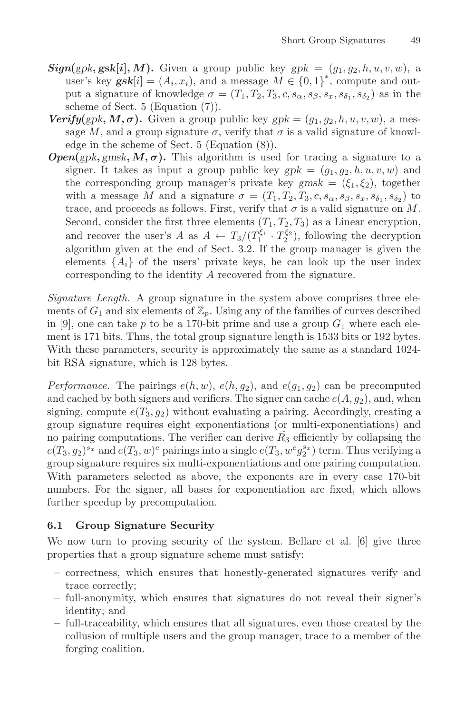- $Sign(gpk, gsk[i], M)$ . Given a group public key  $gpk = (g_1, g_2, h, u, v, w)$ , a user's key  $\mathbf{g} s \mathbf{k}[i] = (A_i, x_i)$ , and a message  $M \in \{0, 1\}^*$ , compute and out-<br>put a signature of knowledge  $\sigma = (T, T_2, T_3, c, s, s, s, s, s, s)$  as in the put a signature of knowledge  $\sigma = (T_1, T_2, T_3, c, s_\alpha, s_\beta, s_x, s_{\delta_1}, s_{\delta_2})$  as in the scheme of Sect. 5 (Equation (7)).
- *Verify* $(gpk, M, \sigma)$ . Given a group public key  $gpk = (g_1, g_2, h, u, v, w)$ , a message M, and a group signature  $\sigma$ , verify that  $\sigma$  is a valid signature of knowledge in the scheme of Sect. 5 (Equation (8)).
- $Open(gpk, gmsk, M, \sigma)$ . This algorithm is used for tracing a signature to a signer. It takes as input a group public key  $gpk = (g_1, g_2, h, u, v, w)$  and the corresponding group manager's private key  $gmsk = (\xi_1, \xi_2)$ , together with a message M and a signature  $\sigma = (T_1, T_2, T_3, c, s_\alpha, s_\beta, s_x, s_{\delta_1}, s_{\delta_2})$  to trace, and proceeds as follows. First, verify that  $\sigma$  is a valid signature on M. Second, consider the first three elements  $(T_1, T_2, T_3)$  as a Linear encryption, and recover the user's A as  $A \leftarrow T_3/(T_1^{\xi_1} \cdot T_2^{\xi_2})$ , following the decryption<br>algorithm given at the end of Sect 3.2. If the group manager is given the algorithm given at the end of Sect. 3.2. If the group manager is given the elements  $\{A_i\}$  of the users' private keys, he can look up the user index corresponding to the identity A recovered from the signature.

*Signature Length.* A group signature in the system above comprises three elements of  $G_1$  and six elements of  $\mathbb{Z}_p$ . Using any of the families of curves described in [9], one can take p to be a 170-bit prime and use a group  $G_1$  where each element is 171 bits. Thus, the total group signature length is 1533 bits or 192 bytes. With these parameters, security is approximately the same as a standard 1024 bit RSA signature, which is 128 bytes.

*Performance.* The pairings  $e(h, w)$ ,  $e(h, g_2)$ , and  $e(g_1, g_2)$  can be precomputed and cached by both signers and verifiers. The signer can cache  $e(A, g_2)$ , and, when signing, compute  $e(T_3, g_2)$  without evaluating a pairing. Accordingly, creating a group signature requires eight exponentiations (or multi-exponentiations) and no pairing computations. The verifier can derive  $R_3$  efficiently by collapsing the  $e(T_3, g_2)^{s_x}$  and  $e(T_3, w)^c$  pairings into a single  $e(T_3, w^c g_2^{s_x})$  term. Thus verifying a<br>group signature requires six multi-exponentiations and one pairing computation group signature requires six multi-exponentiations and one pairing computation. With parameters selected as above, the exponents are in every case 170-bit numbers. For the signer, all bases for exponentiation are fixed, which allows further speedup by precomputation.

We now turn to proving security of the system. Bellare et al. [6] give three properties that a group signature scheme must satisfy:

- **–** correctness, which ensures that honestly-generated signatures verify and trace correctly;
- **–** full-anonymity, which ensures that signatures do not reveal their signer's identity; and
- **–** full-traceability, which ensures that all signatures, even those created by the collusion of multiple users and the group manager, trace to a member of the forging coalition.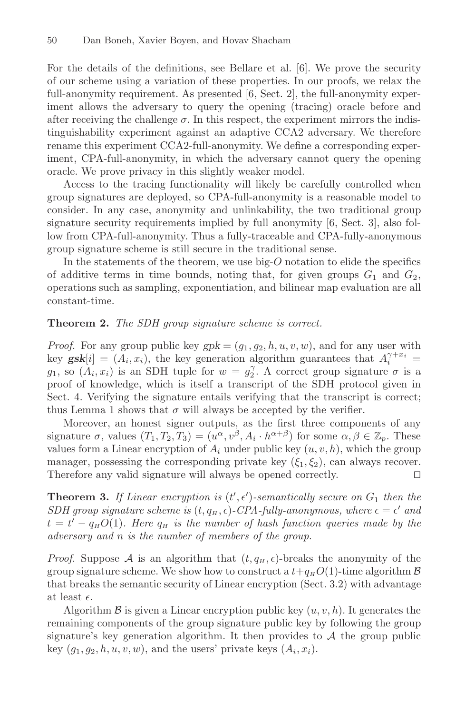For the details of the definitions, see Bellare et al. [6]. We prove the security of our scheme using a variation of these properties. In our proofs, we relax the full-anonymity requirement. As presented [6, Sect. 2], the full-anonymity experiment allows the adversary to query the opening (tracing) oracle before and after receiving the challenge  $\sigma$ . In this respect, the experiment mirrors the indistinguishability experiment against an adaptive CCA2 adversary. We therefore rename this experiment CCA2-full-anonymity. We define a corresponding experiment, CPA-full-anonymity, in which the adversary cannot query the opening oracle. We prove privacy in this slightly weaker model.

Access to the tracing functionality will likely be carefully controlled when group signatures are deployed, so CPA-full-anonymity is a reasonable model to consider. In any case, anonymity and unlinkability, the two traditional group signature security requirements implied by full anonymity  $[6, Sect. 3]$ , also follow from CPA-full-anonymity. Thus a fully-traceable and CPA-fully-anonymous group signature scheme is still secure in the traditional sense.

In the statements of the theorem, we use big- $O$  notation to elide the specifics of additive terms in time bounds, noting that, for given groups  $G_1$  and  $G_2$ , operations such as sampling, exponentiation, and bilinear map evaluation are all constant-time.

#### **Theorem 2.** *The SDH group signature scheme is correct.*

*Proof.* For any group public key  $gpk = (g_1, g_2, h, u, v, w)$ , and for any user with key **gsk**[i] = ( $A_i$ ,  $x_i$ ), the key generation algorithm guarantees that  $A_i^{\gamma + x_i}$  =  $a_i$ , so ( $A_i$ ,  $x_i$ ) is an SDH tuple for  $w = a_i^{\gamma}$ . A correct group signature  $\sigma$  is a  $g_1$ , so  $(A_i, x_i)$  is an SDH tuple for  $w = g_2^{\gamma}$ . A correct group signature  $\sigma$  is a proof of knowledge, which is itself a transcript of the SDH protocol given in proof of knowledge, which is itself a transcript of the SDH protocol given in Sect. 4. Verifying the signature entails verifying that the transcript is correct; thus Lemma 1 shows that  $\sigma$  will always be accepted by the verifier.

Moreover, an honest signer outputs, as the first three components of any signature  $\sigma$ , values  $(T_1, T_2, T_3)=(u^{\alpha}, v^{\beta}, A_i \cdot h^{\alpha+\beta})$  for some  $\alpha, \beta \in \mathbb{Z}_p$ . These values form a Linear encryption of  $A_i$  under public key  $(u, v, h)$ , which the group manager, possessing the corresponding private key  $(\xi_1, \xi_2)$ , can always recover.<br>Therefore any valid signature will always be opened correctly. Therefore any valid signature will always be opened correctly.

**Theorem 3.** If Linear encryption is  $(t', \epsilon')$ -semantically secure on  $G_1$  then the<br>SDH group signature scheme is  $(t, a, \epsilon)$ -CPA-fully-approximates where  $\epsilon = \epsilon'$  and  $SDH$  group signature scheme is  $(t, q_H, \epsilon)$ -CPA-fully-anonymous, where  $\epsilon = \epsilon'$  and  $t - t' - a$ ,  $O(1)$ . Here  $a_{-}$  is the number of hash function queries made by the  $t = t' - q_H O(1)$ *. Here*  $q_H$  *is the number of hash function queries made by the*<br>adversary and *n is the number* of members of the group *adversary and* n *is the number of members of the group.*

*Proof.* Suppose A is an algorithm that  $(t, q_H, \epsilon)$ -breaks the anonymity of the group signature scheme. We show how to construct a  $t+a$ ,  $O(1)$ -time algorithm  $\mathcal{B}$ group signature scheme. We show how to construct a  $t+q<sub>H</sub>O(1)$ -time algorithm  $\beta$ that breaks the semantic security of Linear encryption (Sect. 3.2) with advantage at least  $\epsilon$ .<br>Algori

Algorithm  $\beta$  is given a Linear encryption public key  $(u, v, h)$ . It generates the remaining components of the group signature public key by following the group signature's key generation algorithm. It then provides to  $A$  the group public key  $(q_1, q_2, h, u, v, w)$ , and the users' private keys  $(A_i, x_i)$ .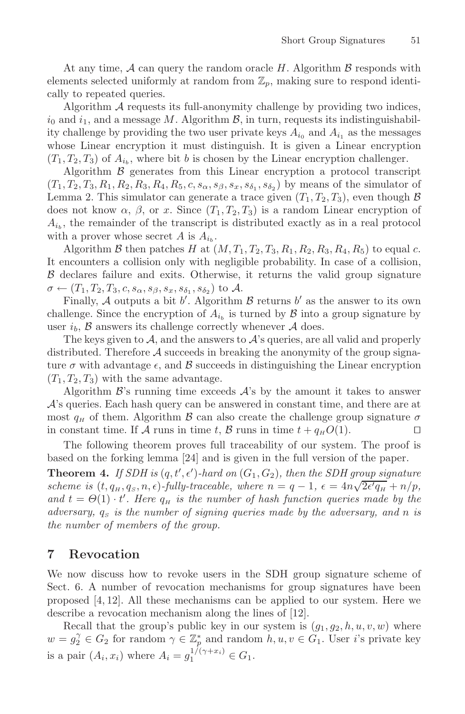At any time,  $A$  can query the random oracle H. Algorithm  $\beta$  responds with elements selected uniformly at random from  $\mathbb{Z}_p$ , making sure to respond identically to repeated queries.

Algorithm A requests its full-anonymity challenge by providing two indices,  $i_0$  and  $i_1$ , and a message M. Algorithm  $\mathcal{B}$ , in turn, requests its indistinguishability challenge by providing the two user private keys  $A_{i_0}$  and  $A_{i_1}$  as the messages whose Linear encryption it must distinguish. It is given a Linear encryption  $(T_1, T_2, T_3)$  of  $A_{i_b}$ , where bit b is chosen by the Linear encryption challenger.

Algorithm  $\beta$  generates from this Linear encryption a protocol transcript  $(T_1, T_2, T_3, R_1, R_2, R_3, R_4, R_5, c, s_\alpha, s_\beta, s_x, s_{\delta_1}, s_{\delta_2})$  by means of the simulator of Lemma 2. This simulator can generate a trace given  $(T_1, T_2, T_3)$ , even though  $\beta$ does not know  $\alpha$ ,  $\beta$ , or x. Since  $(T_1, T_2, T_3)$  is a random Linear encryption of  $A_{i_b}$ , the remainder of the transcript is distributed exactly as in a real protocol with a prover whose secret A is  $A_{i_b}$ .

Algorithm B then patches H at  $(M, T_1, T_2, T_3, R_1, R_2, R_3, R_4, R_5)$  to equal c. It encounters a collision only with negligible probability. In case of a collision,  $\beta$  declares failure and exits. Otherwise, it returns the valid group signature  $\sigma \leftarrow (T_1, T_2, T_3, c, s_\alpha, s_\beta, s_x, s_{\delta_1}, s_{\delta_2})$  to A.

Finally, A outputs a bit b'. Algorithm B returns b' as the answer to its own<br>llenge. Since the encryption of A, is turned by B into a group signature by challenge. Since the encryption of  $A_{i_b}$  is turned by  $\beta$  into a group signature by user  $i_b$ ,  $\beta$  answers its challenge correctly whenever  $\mathcal A$  does.

The keys given to  $\mathcal{A}$ , and the answers to  $\mathcal{A}$ 's queries, are all valid and properly distributed. Therefore  $A$  succeeds in breaking the anonymity of the group signature  $\sigma$  with advantage  $\epsilon$ , and  $\beta$  succeeds in distinguishing the Linear encryption  $(T, T_2, T_3)$  with the same advantage  $(T_1, T_2, T_3)$  with the same advantage.

Algorithm  $\mathcal{B}$ 's running time exceeds  $\mathcal{A}$ 's by the amount it takes to answer A's queries. Each hash query can be answered in constant time, and there are at most  $q_H$  of them. Algorithm  $\mathcal B$  can also create the challenge group signature  $\sigma$  in constant time. If  $\mathcal A$  runs in time  $t$ ,  $\mathcal B$  runs in time  $t + q_H O(1)$ . in constant time. If A runs in time t, B runs in time  $t + q<sub>H</sub> O(1)$ .

The following theorem proves full traceability of our system. The proof is based on the forking lemma [24] and is given in the full version of the paper.

**Theorem 4.** If SDH is  $(q, t', \epsilon')$ -hard on  $(G_1, G_2)$ , then the SDH group signature<br>scheme is (t, q, q, n,  $\epsilon$ )-fully-traceable, where  $n - q - 1$ ,  $\epsilon = An \sqrt{2\epsilon'q} + n/n$ **Solution 1.**  $f$  *s s s (t, t, t) -hard on* ( $G_1, G_2$ ), then the *spin* group<br>scheme is ( $t, q_H, q_S, n, \epsilon$ )-fully-traceable, where  $n = q - 1, \epsilon = 4n\sqrt{2\epsilon}$ <br>and  $t = \Theta(1)$ ,  $t'$  Here a is the number of hash functio  $\sqrt{q_H} + n/p$ ,<br>ade by the and  $t = \Theta(1) \cdot t'$ . Here  $q_H$  is the number of hash function queries made by the adversary and n is *adversary,*  $q_s$  *is the number of signing queries made by the adversary, and n is the number of members of the group.*

#### **7 Revocation**

We now discuss how to revoke users in the SDH group signature scheme of Sect. 6. A number of revocation mechanisms for group signatures have been proposed [4, 12]. All these mechanisms can be applied to our system. Here we describe a revocation mechanism along the lines of [12].

Recall that the group's public key in our system is  $(q_1, q_2, h, u, v, w)$  where  $w = g_1^{\gamma} \in G_2$  for random  $\gamma \in \mathbb{Z}_p^*$  and random  $h, u, v \in G_1$ . User i's private key is a pair  $(A_i, x_i)$  where  $A_i = g_1^{1/(\gamma + x_i)} \in G_1$ .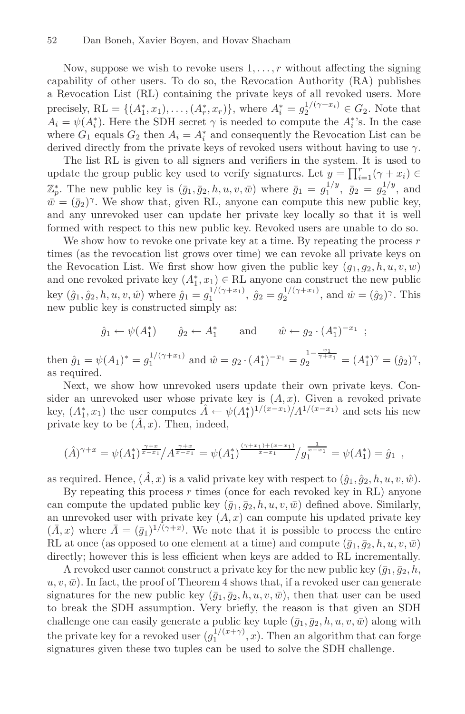Now, suppose we wish to revoke users  $1, \ldots, r$  without affecting the signing capability of other users. To do so, the Revocation Authority (RA) publishes a Revocation List (RL) containing the private keys of all revoked users. More precisely,  $RL = \{(A_1^*, x_1), \ldots, (A_r^*, x_r)\}\$ , where  $A_i^* = g_2^{1/(\gamma + x_i)} \in G_2$ . Note that  $A_i = \psi(A^*)$ . Here the SDH secret  $\alpha$  is needed to compute the  $A^*$ 's. In the case  $A_i = \psi(A_i^*)$ . Here the SDH secret  $\gamma$  is needed to compute the  $A_i^*$ 's. In the case<br>where  $G_i$  equals  $G_2$  then  $A_i = A^*$  and consequently the Revocation List can be where  $G_1$  equals  $G_2$  then  $A_i = A_i^*$  and consequently the Revocation List can be<br>derived directly from the private keys of revoked users without having to use  $\alpha$ derived directly from the private keys of revoked users without having to use  $\gamma$ .

The list RL is given to all signers and verifiers in the system. It is used to update the group public key used to verify signatures. Let  $y = \prod_{i=1}^r (\gamma + x_i) \in \mathbb{Z}^*$  $\mathbb{Z}_{p}^{*}$ . The new public key is  $(\bar{g}_{1}, \bar{g}_{2}, h, u, v, \bar{w})$  where  $\bar{g}_{1} = g_{1}^{1/y}, \ \bar{g}_{2} = g_{2}^{1/y}$ , and  $\bar{w}_{1} = (\bar{g}_{2})^{\gamma}$ . We show that given RL anyone can compute this new public key  $\bar{w} = (\bar{q}_2)^{\gamma}$ . We show that, given RL, anyone can compute this new public key, and any unrevoked user can update her private key locally so that it is well formed with respect to this new public key. Revoked users are unable to do so.

We show how to revoke one private key at a time. By repeating the process  $r$ times (as the revocation list grows over time) we can revoke all private keys on the Revocation List. We first show how given the public key  $(g_1, g_2, h, u, v, w)$ and one revoked private key  $(A_1^*, x_1) \in \text{RL}$  anyone can construct the new public<br>level  $(\hat{z}, \hat{z}, k, y, y, \hat{z})$  where  $\hat{z} = \frac{1/(\gamma + x_1)}{2}$  and  $\hat{z} = \frac{1/(\gamma + x_1)}{2}$  and  $\hat{z} = (\hat{z}, \gamma, \gamma)$ . key  $(\hat{g}_1, \hat{g}_2, h, u, v, \hat{w})$  where  $\hat{g}_1 = g_1^{1/(\gamma + x_1)}$ ,  $\hat{g}_2 = g_2^{1/(\gamma + x_1)}$ , and  $\hat{w} = (\hat{g}_2)^{\gamma}$ . This new public key is constructed simply as:

$$
\hat{g}_1 \leftarrow \psi(A_1^*)
$$
  $\hat{g}_2 \leftarrow A_1^*$  and  $\hat{w} \leftarrow g_2 \cdot (A_1^*)^{-x_1}$ ;

then  $\hat{g}_1 = \psi(A_1)^* = g_1^{1/(\gamma + x_1)}$  and  $\hat{w} = g_2 \cdot (A_1^*)^{-x_1} = g_2^{1 - \frac{x_1}{\gamma + x_1}} = (A_1^*)^{\gamma} = (\hat{g}_2)^{\gamma}$ , as required.

Next, we show how unrevoked users update their own private keys. Consider an unrevoked user whose private key is  $(A, x)$ . Given a revoked private key,  $(A_1^*, x_1)$  the user computes  $A \leftarrow \psi(A_1^*)^{1/(x-x_1)}/A^{1/(x-x_1)}$  and sets his new private key to be  $(\hat{A}, x)$ . Then, indeed,

$$
(\hat{A})^{\gamma+x} = \psi(A_1^*)^{\frac{\gamma+x}{x-x_1}}/A^{\frac{\gamma+x}{x-x_1}} = \psi(A_1^*)^{\frac{(\gamma+x_1)+(x-x_1)}{x-x_1}}/g_1^{\frac{1}{x-x_1}} = \psi(A_1^*) = \hat{g}_1,
$$

as required. Hence,  $(\hat{A}, x)$  is a valid private key with respect to  $(\hat{g}_1, \hat{g}_2, h, u, v, \hat{w})$ .

By repeating this process  $r$  times (once for each revoked key in RL) anyone can compute the updated public key  $(\bar{g}_1, \bar{g}_2, h, u, v, \bar{w})$  defined above. Similarly, an unrevoked user with private key  $(A, x)$  can compute his updated private key  $(\bar{A}, x)$  where  $\bar{A} = (\bar{g}_1)^{1/(\gamma+x)}$ . We note that it is possible to process the entire  $\bar{B}$ , it are ( $\bar{g}_1$ ,  $\bar{g}_2$  one of  $\gamma$ ) and compute  $(\bar{g}_1, \bar{g}_2, h, u, v, \bar{w})$ RL at once (as opposed to one element at a time) and compute  $(\bar{g}_1, \bar{g}_2, h, u, v, \bar{w})$ directly; however this is less efficient when keys are added to RL incrementally.

A revoked user cannot construct a private key for the new public key  $(\bar{g}_1, \bar{g}_2, h, \bar{g}_3)$  $u, v, \bar{w}$ . In fact, the proof of Theorem 4 shows that, if a revoked user can generate signatures for the new public key  $(\bar{g}_1, \bar{g}_2, h, u, v, \bar{w})$ , then that user can be used to break the SDH assumption. Very briefly, the reason is that given an SDH challenge one can easily generate a public key tuple  $(\bar{g}_1, \bar{g}_2, h, u, v, \bar{w})$  along with the private key for a revoked user  $(g_1^{1/(x+\gamma)}, x)$ . Then an algorithm that can forge<br>signatures given these two tuples can be used to solve the SDH challenge signatures given these two tuples can be used to solve the SDH challenge.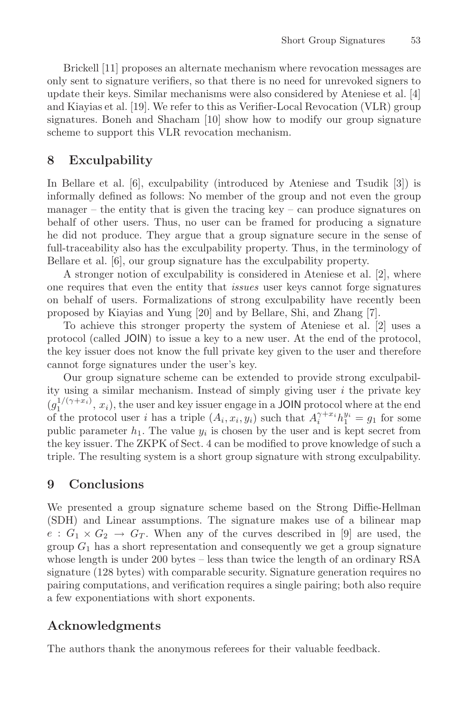Brickell [11] proposes an alternate mechanism where revocation messages are only sent to signature verifiers, so that there is no need for unrevoked signers to update their keys. Similar mechanisms were also considered by Ateniese et al. [4] and Kiayias et al. [19]. We refer to this as Verifier-Local Revocation (VLR) group signatures. Boneh and Shacham [10] show how to modify our group signature scheme to support this VLR revocation mechanism.

#### **8 Exculpability**

In Bellare et al. [6], exculpability (introduced by Ateniese and Tsudik [3]) is informally defined as follows: No member of the group and not even the group manager – the entity that is given the tracing key – can produce signatures on behalf of other users. Thus, no user can be framed for producing a signature he did not produce. They argue that a group signature secure in the sense of full-traceability also has the exculpability property. Thus, in the terminology of Bellare et al. [6], our group signature has the exculpability property.

A stronger notion of exculpability is considered in Ateniese et al. [2], where one requires that even the entity that *issues* user keys cannot forge signatures on behalf of users. Formalizations of strong exculpability have recently been proposed by Kiayias and Yung [20] and by Bellare, Shi, and Zhang [7].

To achieve this stronger property the system of Ateniese et al. [2] uses a protocol (called JOIN) to issue a key to a new user. At the end of the protocol, the key issuer does not know the full private key given to the user and therefore cannot forge signatures under the user's key.

Our group signature scheme can be extended to provide strong exculpability using a similar mechanism. Instead of simply giving user  $i$  the private key  $(g_1^{1/(\gamma+x_i)}, x_i)$ , the user and key issuer engage in a **JOIN** protocol where at the end<br>of the protocol user *i* has a triple  $(A, x, w)$  such that  $A^{\gamma+x_i}b^{y_i} = a$ , for some of the protocol user *i* has a triple  $(A_i, x_i, y_i)$  such that  $A_i^{\gamma+x_i}h_i^{y_i} = g_1$  for some public parameter  $h_i$ . The value  $y_i$  is chosen by the user and is kept secret from public parameter  $h_1$ . The value  $y_i$  is chosen by the user and is kept secret from the key issuer. The ZKPK of Sect. 4 can be modified to prove knowledge of such a triple. The resulting system is a short group signature with strong exculpability.

#### **9 Conclusions**

We presented a group signature scheme based on the Strong Diffie-Hellman (SDH) and Linear assumptions. The signature makes use of a bilinear map  $e: G_1 \times G_2 \rightarrow G_T$ . When any of the curves described in [9] are used, the group  $G_1$  has a short representation and consequently we get a group signature whose length is under 200 bytes – less than twice the length of an ordinary RSA signature (128 bytes) with comparable security. Signature generation requires no pairing computations, and verification requires a single pairing; both also require a few exponentiations with short exponents.

### **Acknowledgments**

The authors thank the anonymous referees for their valuable feedback.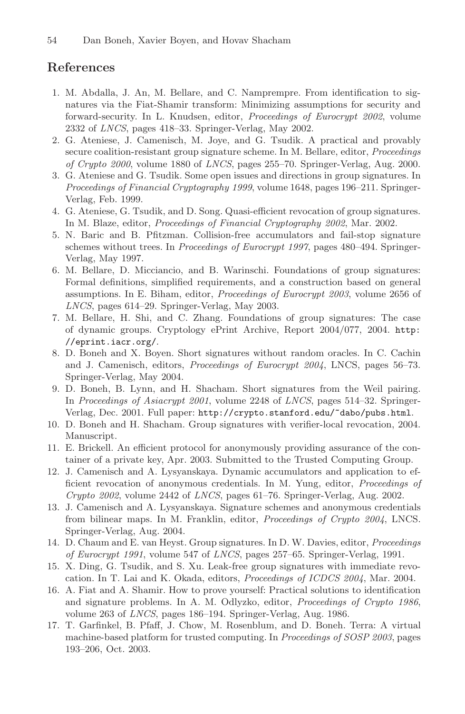#### **References**

- 1. M. Abdalla, J. An, M. Bellare, and C. Namprempre. From identification to signatures via the Fiat-Shamir transform: Minimizing assumptions for security and forward-security. In L. Knudsen, editor, *Proceedings of Eurocrypt 2002*, volume 2332 of *LNCS*, pages 418–33. Springer-Verlag, May 2002.
- 2. G. Ateniese, J. Camenisch, M. Joye, and G. Tsudik. A practical and provably secure coalition-resistant group signature scheme. In M. Bellare, editor, *Proceedings of Crypto 2000*, volume 1880 of *LNCS*, pages 255–70. Springer-Verlag, Aug. 2000.
- 3. G. Ateniese and G. Tsudik. Some open issues and directions in group signatures. In *Proceedings of Financial Cryptography 1999*, volume 1648, pages 196–211. Springer-Verlag, Feb. 1999.
- 4. G. Ateniese, G. Tsudik, and D. Song. Quasi-efficient revocation of group signatures. In M. Blaze, editor, *Proceedings of Financial Cryptography 2002*, Mar. 2002.
- 5. N. Baric and B. Pfitzman. Collision-free accumulators and fail-stop signature schemes without trees. In *Proceedings of Eurocrypt 1997*, pages 480–494. Springer-Verlag, May 1997.
- 6. M. Bellare, D. Micciancio, and B. Warinschi. Foundations of group signatures: Formal definitions, simplified requirements, and a construction based on general assumptions. In E. Biham, editor, *Proceedings of Eurocrypt 2003*, volume 2656 of *LNCS*, pages 614–29. Springer-Verlag, May 2003.
- 7. M. Bellare, H. Shi, and C. Zhang. Foundations of group signatures: The case of dynamic groups. Cryptology ePrint Archive, Report 2004/077, 2004. http: //eprint.iacr.org/.
- 8. D. Boneh and X. Boyen. Short signatures without random oracles. In C. Cachin and J. Camenisch, editors, *Proceedings of Eurocrypt 2004*, LNCS, pages 56–73. Springer-Verlag, May 2004.
- 9. D. Boneh, B. Lynn, and H. Shacham. Short signatures from the Weil pairing. In *Proceedings of Asiacrypt 2001*, volume 2248 of *LNCS*, pages 514–32. Springer-Verlag, Dec. 2001. Full paper: http://crypto.stanford.edu/~dabo/pubs.html.
- 10. D. Boneh and H. Shacham. Group signatures with verifier-local revocation, 2004. Manuscript.
- 11. E. Brickell. An efficient protocol for anonymously providing assurance of the container of a private key, Apr. 2003. Submitted to the Trusted Computing Group.
- 12. J. Camenisch and A. Lysyanskaya. Dynamic accumulators and application to efficient revocation of anonymous credentials. In M. Yung, editor, *Proceedings of Crypto 2002*, volume 2442 of *LNCS*, pages 61–76. Springer-Verlag, Aug. 2002.
- 13. J. Camenisch and A. Lysyanskaya. Signature schemes and anonymous credentials from bilinear maps. In M. Franklin, editor, *Proceedings of Crypto 2004*, LNCS. Springer-Verlag, Aug. 2004.
- 14. D. Chaum and E. van Heyst. Group signatures. In D. W. Davies, editor, *Proceedings of Eurocrypt 1991*, volume 547 of *LNCS*, pages 257–65. Springer-Verlag, 1991.
- 15. X. Ding, G. Tsudik, and S. Xu. Leak-free group signatures with immediate revocation. In T. Lai and K. Okada, editors, *Proceedings of ICDCS 2004*, Mar. 2004.
- 16. A. Fiat and A. Shamir. How to prove yourself: Practical solutions to identification and signature problems. In A. M. Odlyzko, editor, *Proceedings of Crypto 1986*, volume 263 of *LNCS*, pages 186–194. Springer-Verlag, Aug. 1986.
- 17. T. Garfinkel, B. Pfaff, J. Chow, M. Rosenblum, and D. Boneh. Terra: A virtual machine-based platform for trusted computing. In *Proceedings of SOSP 2003*, pages 193–206, Oct. 2003.